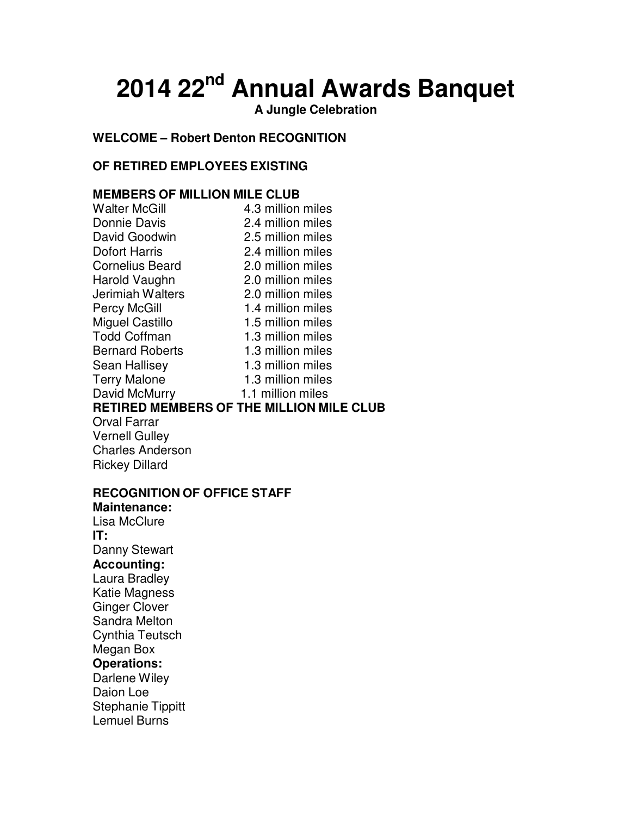# **2014 22nd Annual Awards Banquet**

**A Jungle Celebration**

# **WELCOME – Robert Denton RECOGNITION**

# **OF RETIRED EMPLOYEES EXISTING**

# **MEMBERS OF MILLION MILE CLUB**

| <b>Walter McGill</b>   | 4.3 million miles                               |
|------------------------|-------------------------------------------------|
| Donnie Davis           | 2.4 million miles                               |
| David Goodwin          | 2.5 million miles                               |
| Dofort Harris          | 2.4 million miles                               |
| <b>Cornelius Beard</b> | 2.0 million miles                               |
| Harold Vaughn          | 2.0 million miles                               |
| Jerimiah Walters       | 2.0 million miles                               |
| <b>Percy McGill</b>    | 1.4 million miles                               |
| <b>Miguel Castillo</b> | 1.5 million miles                               |
| <b>Todd Coffman</b>    | 1.3 million miles                               |
| <b>Bernard Roberts</b> | 1.3 million miles                               |
| Sean Hallisey          | 1.3 million miles                               |
| <b>Terry Malone</b>    | 1.3 million miles                               |
| David McMurry          | 1.1 million miles                               |
|                        | <b>RETIRED MEMBERS OF THE MILLION MILE CLUB</b> |
| Orval Farrar           |                                                 |

Vernell Gulley Charles Anderson Rickey Dillard

## **RECOGNITION OF OFFICE STAFF**

**Maintenance:** Lisa McClure **IT:** Danny Stewart **Accounting:**  Laura Bradley Katie Magness Ginger Clover Sandra Melton Cynthia Teutsch Megan Box **Operations:**  Darlene Wiley Daion Loe Stephanie Tippitt Lemuel Burns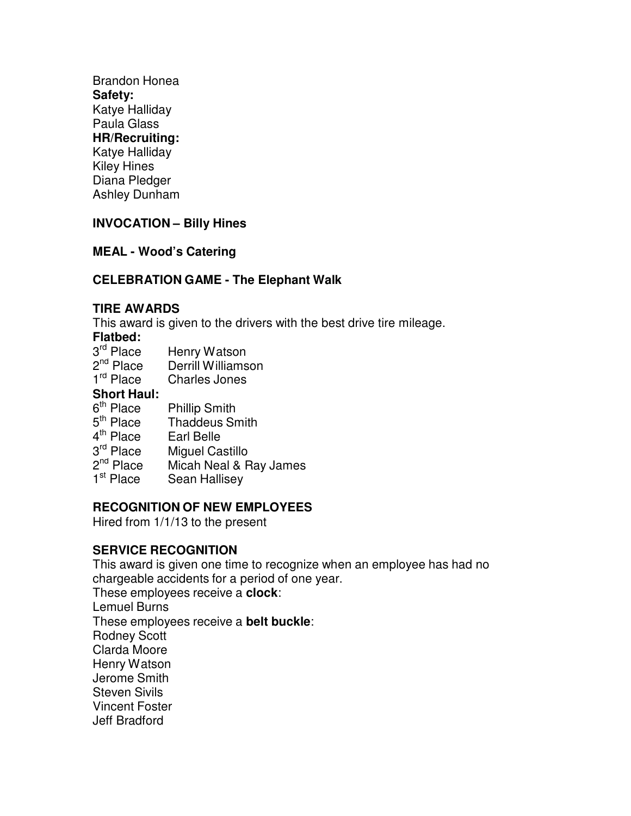Brandon Honea **Safety:** Katye Halliday Paula Glass **HR/Recruiting:**  Katye Halliday Kiley Hines Diana Pledger Ashley Dunham

# **INVOCATION – Billy Hines**

## **MEAL - Wood's Catering**

# **CELEBRATION GAME - The Elephant Walk**

#### **TIRE AWARDS**

This award is given to the drivers with the best drive tire mileage.

#### **Flatbed:**

- 3<sup>rd</sup> Place Henry Watson
- 2<sup>nd</sup> Place Derrill Williamson
- 1<sup>rd</sup> Place **Charles Jones**

## **Short Haul:**

- 6<sup>th</sup> Place Phillip Smith
- 5<sup>th</sup> Place **Thaddeus Smith**
- 4<sup>th</sup> Place Earl Belle
- 3<sup>rd</sup> Place Miguel Castillo
- 2<sup>nd</sup> Place Micah Neal & Ray James
- 1<sup>st</sup> Place Sean Hallisey

# **RECOGNITION OF NEW EMPLOYEES**

Hired from 1/1/13 to the present

## **SERVICE RECOGNITION**

This award is given one time to recognize when an employee has had no chargeable accidents for a period of one year. These employees receive a **clock**: Lemuel Burns These employees receive a **belt buckle**: Rodney Scott Clarda Moore Henry Watson Jerome Smith Steven Sivils Vincent Foster Jeff Bradford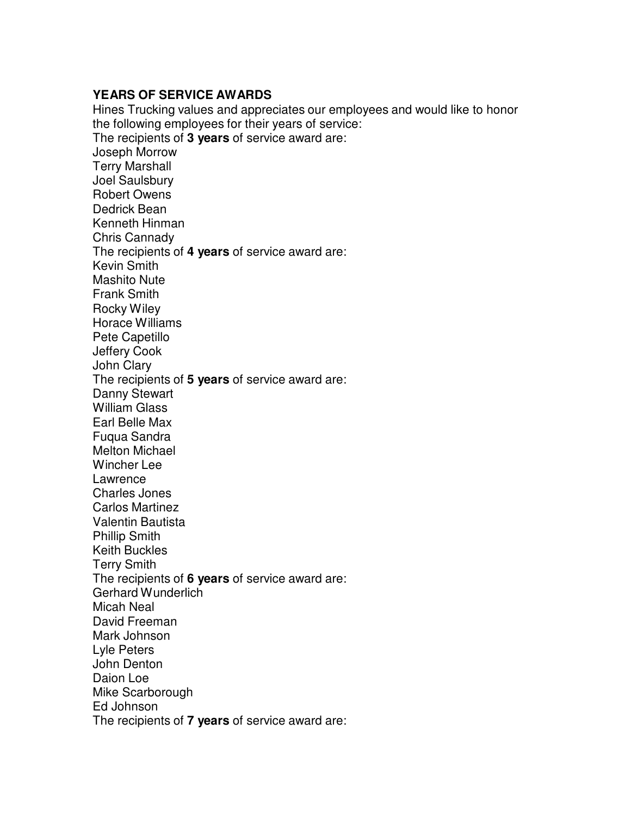### **YEARS OF SERVICE AWARDS**

Hines Trucking values and appreciates our employees and would like to honor the following employees for their years of service: The recipients of **3 years** of service award are: Joseph Morrow Terry Marshall Joel Saulsbury Robert Owens Dedrick Bean Kenneth Hinman Chris Cannady The recipients of **4 years** of service award are: Kevin Smith Mashito Nute Frank Smith Rocky Wiley Horace Williams Pete Capetillo Jeffery Cook John Clary The recipients of **5 years** of service award are: Danny Stewart William Glass Earl Belle Max Fuqua Sandra Melton Michael Wincher Lee Lawrence Charles Jones Carlos Martinez Valentin Bautista Phillip Smith Keith Buckles Terry Smith The recipients of **6 years** of service award are: Gerhard Wunderlich Micah Neal David Freeman Mark Johnson Lyle Peters John Denton Daion Loe Mike Scarborough Ed Johnson The recipients of **7 years** of service award are: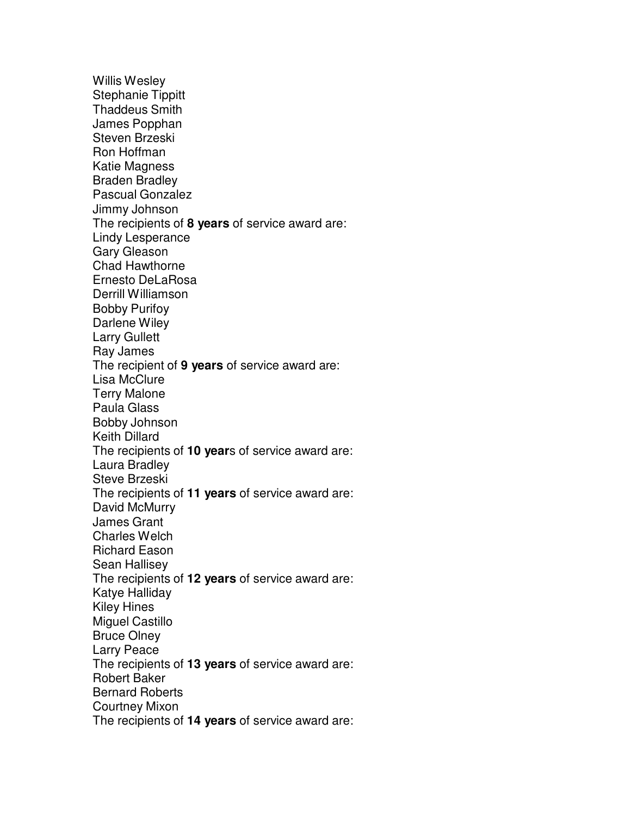Willis Wesley Stephanie Tippitt Thaddeus Smith James Popphan Steven Brzeski Ron Hoffman Katie Magness Braden Bradley Pascual Gonzalez Jimmy Johnson The recipients of **8 years** of service award are: Lindy Lesperance Gary Gleason Chad Hawthorne Ernesto DeLaRosa Derrill Williamson Bobby Purifoy Darlene Wiley Larry Gullett Ray James The recipient of **9 years** of service award are: Lisa McClure Terry Malone Paula Glass Bobby Johnson Keith Dillard The recipients of **10 year**s of service award are: Laura Bradley Steve Brzeski The recipients of **11 years** of service award are: David McMurry James Grant Charles Welch Richard Eason Sean Hallisey The recipients of **12 years** of service award are: Katye Halliday Kiley Hines Miguel Castillo Bruce Olney Larry Peace The recipients of **13 years** of service award are: Robert Baker Bernard Roberts Courtney Mixon The recipients of **14 years** of service award are: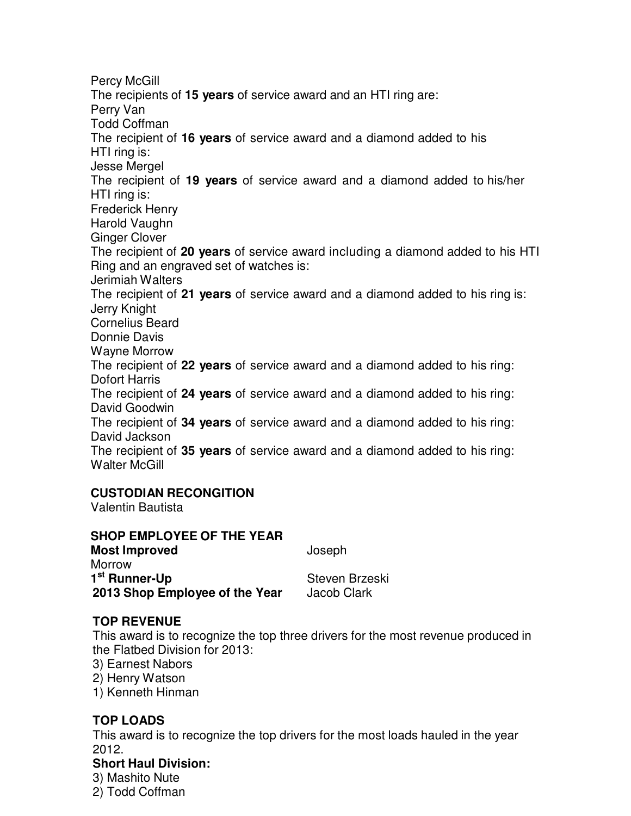Percy McGill The recipients of **15 years** of service award and an HTI ring are: Perry Van Todd Coffman The recipient of **16 years** of service award and a diamond added to his HTI ring is: Jesse Mergel The recipient of **19 years** of service award and a diamond added to his/her HTI ring is: Frederick Henry Harold Vaughn Ginger Clover The recipient of **20 years** of service award including a diamond added to his HTI Ring and an engraved set of watches is: Jerimiah Walters The recipient of **21 years** of service award and a diamond added to his ring is: Jerry Knight Cornelius Beard Donnie Davis Wayne Morrow The recipient of **22 years** of service award and a diamond added to his ring: Dofort Harris The recipient of **24 years** of service award and a diamond added to his ring: David Goodwin The recipient of **34 years** of service award and a diamond added to his ring: David Jackson The recipient of **35 years** of service award and a diamond added to his ring: Walter McGill

# **CUSTODIAN RECONGITION**

Valentin Bautista

# **SHOP EMPLOYEE OF THE YEAR**

**Most Improved** Joseph **Morrow** 1<sup>st</sup> Runner-Up **being a state of the Steven Brzeski 2013 Shop Employee of the Year** Jacob Clark

# **TOP REVENUE**

This award is to recognize the top three drivers for the most revenue produced in the Flatbed Division for 2013:

- 3) Earnest Nabors
- 2) Henry Watson
- 1) Kenneth Hinman

# **TOP LOADS**

This award is to recognize the top drivers for the most loads hauled in the year 2012.

# **Short Haul Division:**

3) Mashito Nute 2) Todd Coffman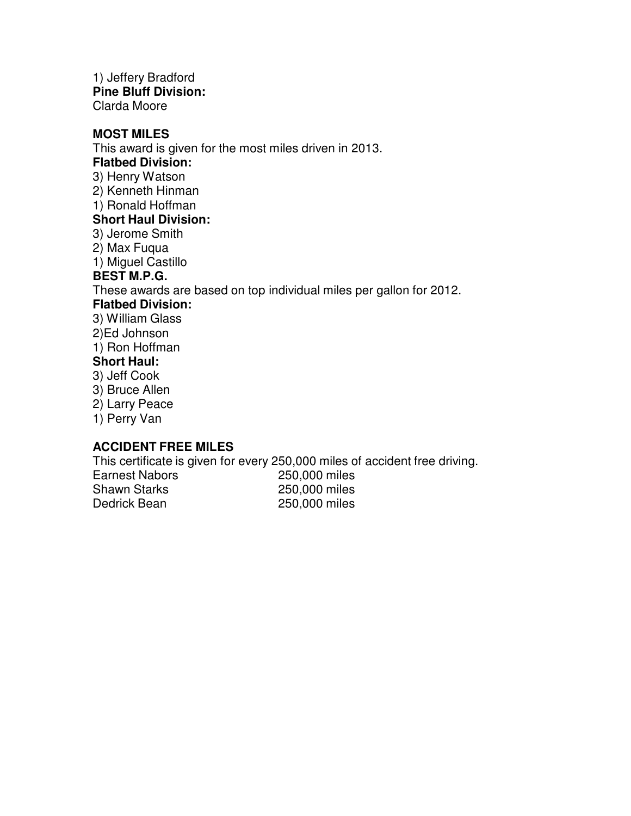1) Jeffery Bradford **Pine Bluff Division:** Clarda Moore

#### **MOST MILES**

This award is given for the most miles driven in 2013.

#### **Flatbed Division:**

3) Henry Watson

2) Kenneth Hinman

1) Ronald Hoffman

#### **Short Haul Division:**

3) Jerome Smith

2) Max Fuqua

1) Miguel Castillo

## **BEST M.P.G.**

These awards are based on top individual miles per gallon for 2012.

## **Flatbed Division:**

3) William Glass

2)Ed Johnson

1) Ron Hoffman

## **Short Haul:**

- 3) Jeff Cook
- 3) Bruce Allen
- 2) Larry Peace
- 1) Perry Van

## **ACCIDENT FREE MILES**

This certificate is given for every 250,000 miles of accident free driving.

Earnest Nabors 250,000 miles<br>
Shawn Starks 250.000 miles Dedrick Bean 250,000 miles

250,000 miles